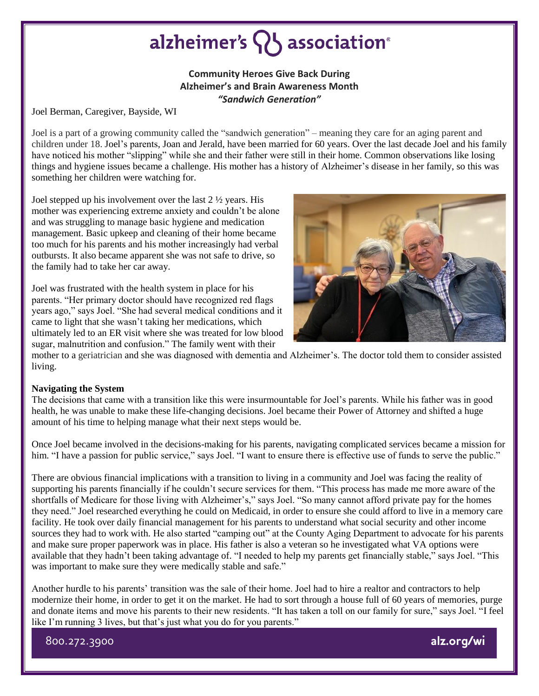## alzheimer's  $\{ \}$  association<sup>®</sup>

### **Community Heroes Give Back During Alzheimer's and Brain Awareness Month** *"Sandwich Generation"*

Joel Berman, Caregiver, Bayside, WI

Joel is a part of a growing community called the "sandwich generation" – meaning they care for an aging parent and children under 18. Joel's parents, Joan and Jerald, have been married for 60 years. Over the last decade Joel and his family have noticed his mother "slipping" while she and their father were still in their home. Common observations like losing things and hygiene issues became a challenge. His mother has a history of Alzheimer's disease in her family, so this was something her children were watching for.

Joel stepped up his involvement over the last 2 ½ years. His mother was experiencing extreme anxiety and couldn't be alone and was struggling to manage basic hygiene and medication management. Basic upkeep and cleaning of their home became too much for his parents and his mother increasingly had verbal outbursts. It also became apparent she was not safe to drive, so the family had to take her car away.

Joel was frustrated with the health system in place for his parents. "Her primary doctor should have recognized red flags years ago," says Joel. "She had several medical conditions and it came to light that she wasn't taking her medications, which ultimately led to an ER visit where she was treated for low blood sugar, malnutrition and confusion." The family went with their



mother to a geriatrician and she was diagnosed with dementia and Alzheimer's. The doctor told them to consider assisted living.

#### **Navigating the System**

The decisions that came with a transition like this were insurmountable for Joel's parents. While his father was in good health, he was unable to make these life-changing decisions. Joel became their Power of Attorney and shifted a huge amount of his time to helping manage what their next steps would be.

Once Joel became involved in the decisions-making for his parents, navigating complicated services became a mission for him. "I have a passion for public service," says Joel. "I want to ensure there is effective use of funds to serve the public."

There are obvious financial implications with a transition to living in a community and Joel was facing the reality of supporting his parents financially if he couldn't secure services for them. "This process has made me more aware of the shortfalls of Medicare for those living with Alzheimer's," says Joel. "So many cannot afford private pay for the homes they need." Joel researched everything he could on Medicaid, in order to ensure she could afford to live in a memory care facility. He took over daily financial management for his parents to understand what social security and other income sources they had to work with. He also started "camping out" at the County Aging Department to advocate for his parents and make sure proper paperwork was in place. His father is also a veteran so he investigated what VA options were available that they hadn't been taking advantage of. "I needed to help my parents get financially stable," says Joel. "This was important to make sure they were medically stable and safe."

Another hurdle to his parents' transition was the sale of their home. Joel had to hire a realtor and contractors to help modernize their home, in order to get it on the market. He had to sort through a house full of 60 years of memories, purge and donate items and move his parents to their new residents. "It has taken a toll on our family for sure," says Joel. "I feel like I'm running 3 lives, but that's just what you do for you parents."

800.272.3900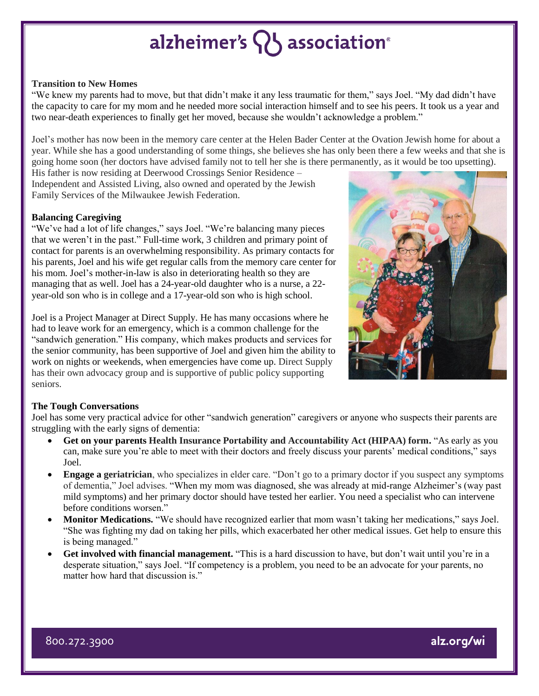## alzheimer's **Q** association<sup>®</sup>

#### **Transition to New Homes**

"We knew my parents had to move, but that didn't make it any less traumatic for them," says Joel. "My dad didn't have the capacity to care for my mom and he needed more social interaction himself and to see his peers. It took us a year and two near-death experiences to finally get her moved, because she wouldn't acknowledge a problem."

Joel's mother has now been in the memory care center at the Helen Bader Center at the Ovation Jewish home for about a year. While she has a good understanding of some things, she believes she has only been there a few weeks and that she is going home soon (her doctors have advised family not to tell her she is there permanently, as it would be too upsetting).

His father is now residing at Deerwood Crossings Senior Residence – Independent and Assisted Living, also owned and operated by the Jewish Family Services of the Milwaukee Jewish Federation.

#### **Balancing Caregiving**

"We've had a lot of life changes," says Joel. "We're balancing many pieces that we weren't in the past." Full-time work, 3 children and primary point of contact for parents is an overwhelming responsibility. As primary contacts for his parents, Joel and his wife get regular calls from the memory care center for his mom. Joel's mother-in-law is also in deteriorating health so they are managing that as well. Joel has a 24-year-old daughter who is a nurse, a 22 year-old son who is in college and a 17-year-old son who is high school.

Joel is a Project Manager at Direct Supply. He has many occasions where he had to leave work for an emergency, which is a common challenge for the "sandwich generation." His company, which makes products and services for the senior community, has been supportive of Joel and given him the ability to work on nights or weekends, when emergencies have come up. Direct Supply has their own advocacy group and is supportive of public policy supporting seniors.



### **The Tough Conversations**

Joel has some very practical advice for other "sandwich generation" caregivers or anyone who suspects their parents are struggling with the early signs of dementia:

- **Get on your parents Health Insurance Portability and Accountability Act (HIPAA) form.** "As early as you can, make sure you're able to meet with their doctors and freely discuss your parents' medical conditions," says Joel.
- **Engage a geriatrician**, who specializes in elder care. "Don't go to a primary doctor if you suspect any symptoms of dementia," Joel advises. "When my mom was diagnosed, she was already at mid-range Alzheimer's (way past mild symptoms) and her primary doctor should have tested her earlier. You need a specialist who can intervene before conditions worsen."
- **Monitor Medications.** "We should have recognized earlier that mom wasn't taking her medications," says Joel. "She was fighting my dad on taking her pills, which exacerbated her other medical issues. Get help to ensure this is being managed."
- **Get involved with financial management.** "This is a hard discussion to have, but don't wait until you're in a desperate situation," says Joel. "If competency is a problem, you need to be an advocate for your parents, no matter how hard that discussion is."